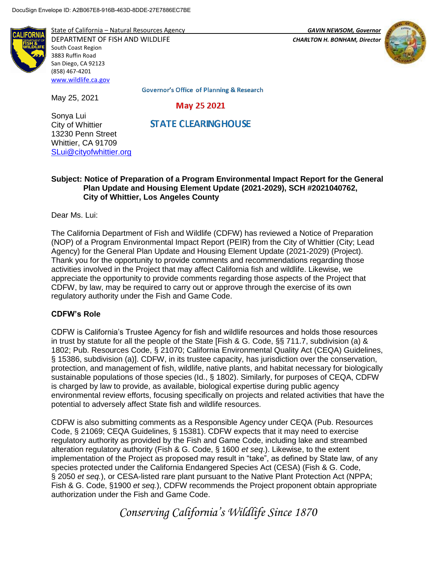

State of California – Natural Resources Agency *GAVIN NEWSOM, Governor*

DEPARTMENT OF FISH AND WILDLIFE *CHARLTON H. BONHAM, Director*  South Coast Region 3883 Ruffin Road San Diego, CA 92123 (858) 467-4201 [www.wildlife.ca.gov](http://www.wildlife.ca.gov/)



Governor's Office of Planning & Research

May 25 2021

Sonya Lui City of Whittier 13230 Penn Street Whittier, CA 91709 [SLui@cityofwhittier.org](mailto:SLui@cityofwhittier.org)

May 25, 2021

**STATE CLEARING HOUSE** 

# **Subject: Notice of Preparation of a Program Environmental Impact Report for the General Plan Update and Housing Element Update (2021-2029), SCH #2021040762, City of Whittier, Los Angeles County**

Dear Ms. Lui:

The California Department of Fish and Wildlife (CDFW) has reviewed a Notice of Preparation (NOP) of a Program Environmental Impact Report (PEIR) from the City of Whittier (City; Lead Agency) for the General Plan Update and Housing Element Update (2021-2029) (Project). Thank you for the opportunity to provide comments and recommendations regarding those activities involved in the Project that may affect California fish and wildlife. Likewise, we appreciate the opportunity to provide comments regarding those aspects of the Project that CDFW, by law, may be required to carry out or approve through the exercise of its own regulatory authority under the Fish and Game Code.

# **CDFW's Role**

CDFW is California's Trustee Agency for fish and wildlife resources and holds those resources in trust by statute for all the people of the State [Fish & G. Code, §§ 711.7, subdivision (a) & 1802; Pub. Resources Code, § 21070; California Environmental Quality Act (CEQA) Guidelines, § 15386, subdivision (a)]. CDFW, in its trustee capacity, has jurisdiction over the conservation, protection, and management of fish, wildlife, native plants, and habitat necessary for biologically sustainable populations of those species (Id., § 1802). Similarly, for purposes of CEQA, CDFW is charged by law to provide, as available, biological expertise during public agency environmental review efforts, focusing specifically on projects and related activities that have the potential to adversely affect State fish and wildlife resources.

CDFW is also submitting comments as a Responsible Agency under CEQA (Pub. Resources Code, § 21069; CEQA Guidelines, § 15381). CDFW expects that it may need to exercise regulatory authority as provided by the Fish and Game Code, including lake and streambed alteration regulatory authority (Fish & G. Code, § 1600 *et seq*.). Likewise, to the extent implementation of the Project as proposed may result in "take", as defined by State law, of any species protected under the California Endangered Species Act (CESA) (Fish & G. Code, § 2050 *et seq.*), or CESA-listed rare plant pursuant to the Native Plant Protection Act (NPPA; Fish & G. Code, §1900 *et seq.*), CDFW recommends the Project proponent obtain appropriate authorization under the Fish and Game Code.

*Conserving California's Wildlife Since 1870*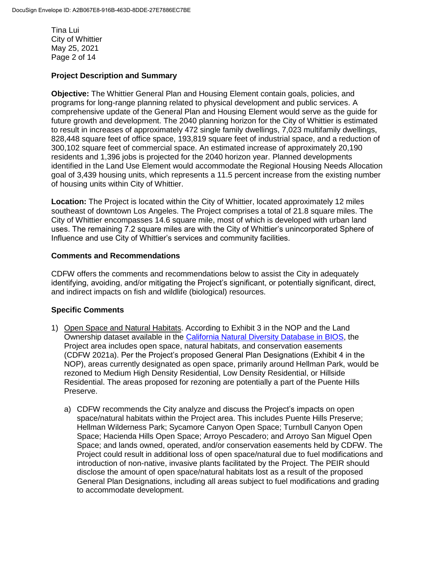Tina Lui City of Whittier May 25, 2021 Page 2 of 14

#### **Project Description and Summary**

**Objective:** The Whittier General Plan and Housing Element contain goals, policies, and programs for long-range planning related to physical development and public services. A comprehensive update of the General Plan and Housing Element would serve as the guide for future growth and development. The 2040 planning horizon for the City of Whittier is estimated to result in increases of approximately 472 single family dwellings, 7,023 multifamily dwellings, 828,448 square feet of office space, 193,819 square feet of industrial space, and a reduction of 300,102 square feet of commercial space. An estimated increase of approximately 20,190 residents and 1,396 jobs is projected for the 2040 horizon year. Planned developments identified in the Land Use Element would accommodate the Regional Housing Needs Allocation goal of 3,439 housing units, which represents a 11.5 percent increase from the existing number of housing units within City of Whittier.

**Location:** The Project is located within the City of Whittier, located approximately 12 miles southeast of downtown Los Angeles. The Project comprises a total of 21.8 square miles. The City of Whittier encompasses 14.6 square mile, most of which is developed with urban land uses. The remaining 7.2 square miles are with the City of Whittier's unincorporated Sphere of Influence and use City of Whittier's services and community facilities.

#### **Comments and Recommendations**

CDFW offers the comments and recommendations below to assist the City in adequately identifying, avoiding, and/or mitigating the Project's significant, or potentially significant, direct, and indirect impacts on fish and wildlife (biological) resources.

# **Specific Comments**

- 1) Open Space and Natural Habitats. According to Exhibit 3 in the NOP and the Land Ownership dataset available in the [California Natural Diversity Database in BIOS,](https://wildlife.ca.gov/Data/CNDDB/Maps-and-Data#43018408-cnddb-in-bios) the Project area includes open space, natural habitats, and conservation easements (CDFW 2021a). Per the Project's proposed General Plan Designations (Exhibit 4 in the NOP), areas currently designated as open space, primarily around Hellman Park, would be rezoned to Medium High Density Residential, Low Density Residential, or Hillside Residential. The areas proposed for rezoning are potentially a part of the Puente Hills Preserve.
	- a) CDFW recommends the City analyze and discuss the Project's impacts on open space/natural habitats within the Project area. This includes Puente Hills Preserve; Hellman Wilderness Park; Sycamore Canyon Open Space; Turnbull Canyon Open Space; Hacienda Hills Open Space; Arroyo Pescadero; and Arroyo San Miguel Open Space; and lands owned, operated, and/or conservation easements held by CDFW. The Project could result in additional loss of open space/natural due to fuel modifications and introduction of non-native, invasive plants facilitated by the Project. The PEIR should disclose the amount of open space/natural habitats lost as a result of the proposed General Plan Designations, including all areas subject to fuel modifications and grading to accommodate development.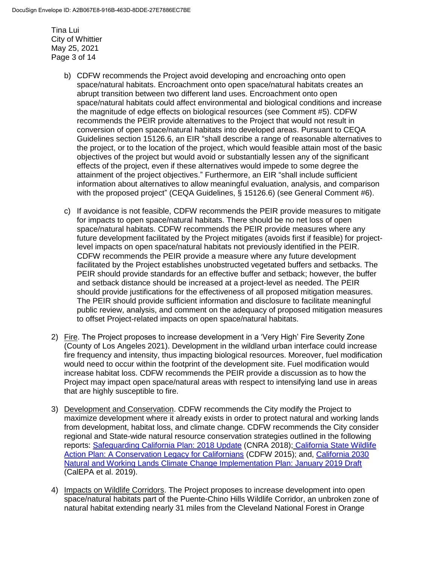Tina Lui City of Whittier May 25, 2021 Page 3 of 14

- b) CDFW recommends the Project avoid developing and encroaching onto open space/natural habitats. Encroachment onto open space/natural habitats creates an abrupt transition between two different land uses. Encroachment onto open space/natural habitats could affect environmental and biological conditions and increase the magnitude of edge effects on biological resources (see Comment #5). CDFW recommends the PEIR provide alternatives to the Project that would not result in conversion of open space/natural habitats into developed areas. Pursuant to CEQA Guidelines section 15126.6, an EIR "shall describe a range of reasonable alternatives to the project, or to the location of the project, which would feasible attain most of the basic objectives of the project but would avoid or substantially lessen any of the significant effects of the project, even if these alternatives would impede to some degree the attainment of the project objectives." Furthermore, an EIR "shall include sufficient information about alternatives to allow meaningful evaluation, analysis, and comparison with the proposed project" (CEQA Guidelines, § 15126.6) (see General Comment #6).
- c) If avoidance is not feasible, CDFW recommends the PEIR provide measures to mitigate for impacts to open space/natural habitats. There should be no net loss of open space/natural habitats. CDFW recommends the PEIR provide measures where any future development facilitated by the Project mitigates (avoids first if feasible) for projectlevel impacts on open space/natural habitats not previously identified in the PEIR. CDFW recommends the PEIR provide a measure where any future development facilitated by the Project establishes unobstructed vegetated buffers and setbacks. The PEIR should provide standards for an effective buffer and setback; however, the buffer and setback distance should be increased at a project-level as needed. The PEIR should provide justifications for the effectiveness of all proposed mitigation measures. The PEIR should provide sufficient information and disclosure to facilitate meaningful public review, analysis, and comment on the adequacy of proposed mitigation measures to offset Project-related impacts on open space/natural habitats.
- 2) Fire. The Project proposes to increase development in a 'Very High' Fire Severity Zone (County of Los Angeles 2021). Development in the wildland urban interface could increase fire frequency and intensity, thus impacting biological resources. Moreover, fuel modification would need to occur within the footprint of the development site. Fuel modification would increase habitat loss. CDFW recommends the PEIR provide a discussion as to how the Project may impact open space/natural areas with respect to intensifying land use in areas that are highly susceptible to fire.
- 3) Development and Conservation. CDFW recommends the City modify the Project to maximize development where it already exists in order to protect natural and working lands from development, habitat loss, and climate change. CDFW recommends the City consider regional and State-wide natural resource conservation strategies outlined in the following reports: [Safeguarding California Plan: 2018 Update](https://files.resources.ca.gov/climate/safeguarding/) (CNRA 2018); California State Wildlife [Action Plan: A Conservation Legacy for Californians](https://wildlife.ca.gov/SWAP/Final) (CDFW 2015); and, [California 2030](https://ww2.arb.ca.gov/resources/documents/nwl-implementation-draft)  [Natural and Working Lands Climate Change Implementation Plan: January 2019 Draft](https://ww2.arb.ca.gov/resources/documents/nwl-implementation-draft) (CalEPA et al. 2019).
- 4) Impacts on Wildlife Corridors. The Project proposes to increase development into open space/natural habitats part of the Puente-Chino Hills Wildlife Corridor, an unbroken zone of natural habitat extending nearly 31 miles from the Cleveland National Forest in Orange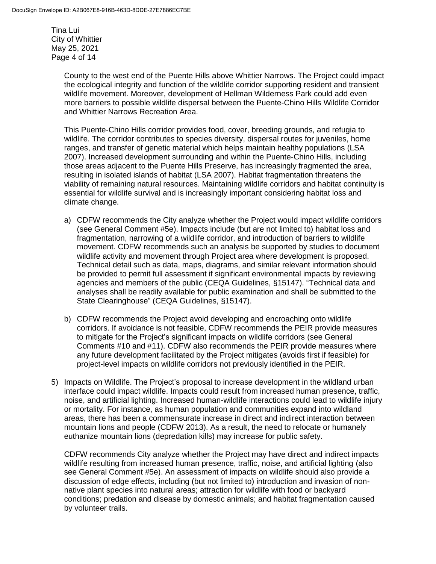Tina Lui City of Whittier May 25, 2021 Page 4 of 14

> County to the west end of the Puente Hills above Whittier Narrows. The Project could impact the ecological integrity and function of the wildlife corridor supporting resident and transient wildlife movement. Moreover, development of Hellman Wilderness Park could add even more barriers to possible wildlife dispersal between the Puente-Chino Hills Wildlife Corridor and Whittier Narrows Recreation Area.

> This Puente-Chino Hills corridor provides food, cover, breeding grounds, and refugia to wildlife. The corridor contributes to species diversity, dispersal routes for juveniles, home ranges, and transfer of genetic material which helps maintain healthy populations (LSA 2007). Increased development surrounding and within the Puente-Chino Hills, including those areas adjacent to the Puente Hills Preserve, has increasingly fragmented the area, resulting in isolated islands of habitat (LSA 2007). Habitat fragmentation threatens the viability of remaining natural resources. Maintaining wildlife corridors and habitat continuity is essential for wildlife survival and is increasingly important considering habitat loss and climate change.

- a) CDFW recommends the City analyze whether the Project would impact wildlife corridors (see General Comment #5e). Impacts include (but are not limited to) habitat loss and fragmentation, narrowing of a wildlife corridor, and introduction of barriers to wildlife movement. CDFW recommends such an analysis be supported by studies to document wildlife activity and movement through Project area where development is proposed. Technical detail such as data, maps, diagrams, and similar relevant information should be provided to permit full assessment if significant environmental impacts by reviewing agencies and members of the public (CEQA Guidelines, §15147). "Technical data and analyses shall be readily available for public examination and shall be submitted to the State Clearinghouse" (CEQA Guidelines, §15147).
- b) CDFW recommends the Project avoid developing and encroaching onto wildlife corridors. If avoidance is not feasible, CDFW recommends the PEIR provide measures to mitigate for the Project's significant impacts on wildlife corridors (see General Comments #10 and #11). CDFW also recommends the PEIR provide measures where any future development facilitated by the Project mitigates (avoids first if feasible) for project-level impacts on wildlife corridors not previously identified in the PEIR.
- 5) Impacts on Wildlife. The Project's proposal to increase development in the wildland urban interface could impact wildlife. Impacts could result from increased human presence, traffic, noise, and artificial lighting. Increased human-wildlife interactions could lead to wildlife injury or mortality. For instance, as human population and communities expand into wildland areas, there has been a commensurate increase in direct and indirect interaction between mountain lions and people (CDFW 2013). As a result, the need to relocate or humanely euthanize mountain lions (depredation kills) may increase for public safety.

CDFW recommends City analyze whether the Project may have direct and indirect impacts wildlife resulting from increased human presence, traffic, noise, and artificial lighting (also see General Comment #5e). An assessment of impacts on wildlife should also provide a discussion of edge effects, including (but not limited to) introduction and invasion of nonnative plant species into natural areas; attraction for wildlife with food or backyard conditions; predation and disease by domestic animals; and habitat fragmentation caused by volunteer trails.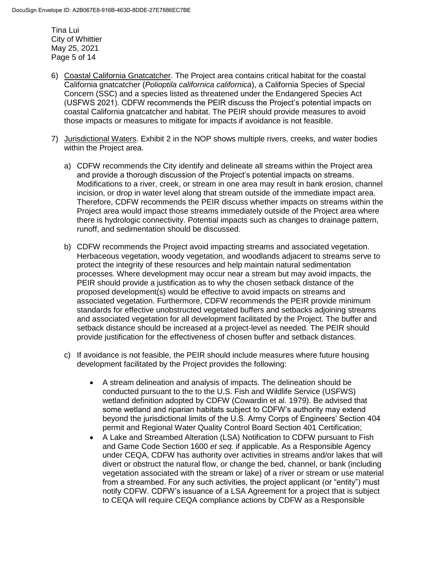Tina Lui City of Whittier May 25, 2021 Page 5 of 14

- 6) Coastal California Gnatcatcher. The Project area contains critical habitat for the coastal California gnatcatcher (*Polioptila californica californica*), a California Species of Special Concern (SSC) and a species listed as threatened under the Endangered Species Act (USFWS 2021). CDFW recommends the PEIR discuss the Project's potential impacts on coastal California gnatcatcher and habitat. The PEIR should provide measures to avoid those impacts or measures to mitigate for impacts if avoidance is not feasible.
- 7) Jurisdictional Waters. Exhibit 2 in the NOP shows multiple rivers, creeks, and water bodies within the Project area.
	- a) CDFW recommends the City identify and delineate all streams within the Project area and provide a thorough discussion of the Project's potential impacts on streams. Modifications to a river, creek, or stream in one area may result in bank erosion, channel incision, or drop in water level along that stream outside of the immediate impact area. Therefore, CDFW recommends the PEIR discuss whether impacts on streams within the Project area would impact those streams immediately outside of the Project area where there is hydrologic connectivity. Potential impacts such as changes to drainage pattern, runoff, and sedimentation should be discussed.
	- b) CDFW recommends the Project avoid impacting streams and associated vegetation. Herbaceous vegetation, woody vegetation, and woodlands adjacent to streams serve to protect the integrity of these resources and help maintain natural sedimentation processes. Where development may occur near a stream but may avoid impacts, the PEIR should provide a justification as to why the chosen setback distance of the proposed development(s) would be effective to avoid impacts on streams and associated vegetation. Furthermore, CDFW recommends the PEIR provide minimum standards for effective unobstructed vegetated buffers and setbacks adjoining streams and associated vegetation for all development facilitated by the Project. The buffer and setback distance should be increased at a project-level as needed. The PEIR should provide justification for the effectiveness of chosen buffer and setback distances.
	- c) If avoidance is not feasible, the PEIR should include measures where future housing development facilitated by the Project provides the following:
		- A stream delineation and analysis of impacts. The delineation should be conducted pursuant to the to the U.S. Fish and Wildlife Service (USFWS) wetland definition adopted by CDFW (Cowardin et al. 1979). Be advised that some wetland and riparian habitats subject to CDFW's authority may extend beyond the jurisdictional limits of the U.S. Army Corps of Engineers' Section 404 permit and Regional Water Quality Control Board Section 401 Certification;
		- A Lake and Streambed Alteration (LSA) Notification to CDFW pursuant to Fish and Game Code Section 1600 *et seq.* if applicable. As a Responsible Agency under CEQA, CDFW has authority over activities in streams and/or lakes that will divert or obstruct the natural flow, or change the bed, channel, or bank (including vegetation associated with the stream or lake) of a river or stream or use material from a streambed. For any such activities, the project applicant (or "entity") must notify CDFW. CDFW's issuance of a LSA Agreement for a project that is subject to CEQA will require CEQA compliance actions by CDFW as a Responsible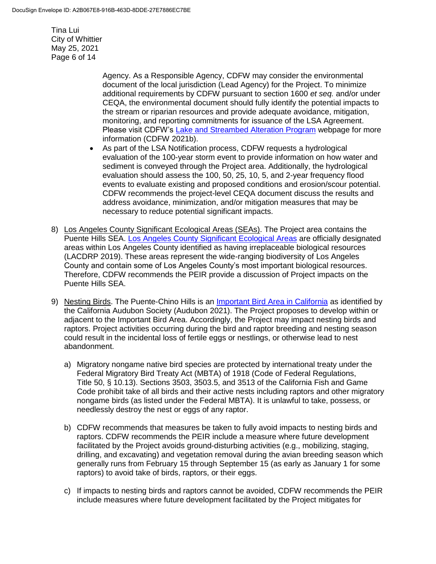Tina Lui City of Whittier May 25, 2021 Page 6 of 14

> Agency. As a Responsible Agency, CDFW may consider the environmental document of the local jurisdiction (Lead Agency) for the Project. To minimize additional requirements by CDFW pursuant to section 1600 *et seq.* and/or under CEQA, the environmental document should fully identify the potential impacts to the stream or riparian resources and provide adequate avoidance, mitigation, monitoring, and reporting commitments for issuance of the LSA Agreement. Please visit CDFW's [Lake and Streambed Alteration Program](https://wildlife.ca.gov/Conservation/LSA) webpage for more information (CDFW 2021b).

- As part of the LSA Notification process, CDFW requests a hydrological evaluation of the 100-year storm event to provide information on how water and sediment is conveyed through the Project area. Additionally, the hydrological evaluation should assess the 100, 50, 25, 10, 5, and 2-year frequency flood events to evaluate existing and proposed conditions and erosion/scour potential. CDFW recommends the project-level CEQA document discuss the results and address avoidance, minimization, and/or mitigation measures that may be necessary to reduce potential significant impacts.
- 8) Los Angeles County Significant Ecological Areas (SEAs). The Project area contains the Puente Hills SEA. [Los Angeles County Significant Ecological Areas](https://planning.lacounty.gov/site/sea/maps/) are officially designated areas within Los Angeles County identified as having irreplaceable biological resources (LACDRP 2019). These areas represent the wide-ranging biodiversity of Los Angeles County and contain some of Los Angeles County's most important biological resources. Therefore, CDFW recommends the PEIR provide a discussion of Project impacts on the Puente Hills SEA.
- 9) Nesting Birds. The Puente-Chino Hills is an [Important Bird Area in California](https://www.audubon.org/important-bird-areas/state/california) as identified by the California Audubon Society (Audubon 2021). The Project proposes to develop within or adjacent to the Important Bird Area. Accordingly, the Project may impact nesting birds and raptors. Project activities occurring during the bird and raptor breeding and nesting season could result in the incidental loss of fertile eggs or nestlings, or otherwise lead to nest abandonment.
	- a) Migratory nongame native bird species are protected by international treaty under the Federal Migratory Bird Treaty Act (MBTA) of 1918 (Code of Federal Regulations, Title 50, § 10.13). Sections 3503, 3503.5, and 3513 of the California Fish and Game Code prohibit take of all birds and their active nests including raptors and other migratory nongame birds (as listed under the Federal MBTA). It is unlawful to take, possess, or needlessly destroy the nest or eggs of any raptor.
	- b) CDFW recommends that measures be taken to fully avoid impacts to nesting birds and raptors. CDFW recommends the PEIR include a measure where future development facilitated by the Project avoids ground-disturbing activities (e.g., mobilizing, staging, drilling, and excavating) and vegetation removal during the avian breeding season which generally runs from February 15 through September 15 (as early as January 1 for some raptors) to avoid take of birds, raptors, or their eggs.
	- c) If impacts to nesting birds and raptors cannot be avoided, CDFW recommends the PEIR include measures where future development facilitated by the Project mitigates for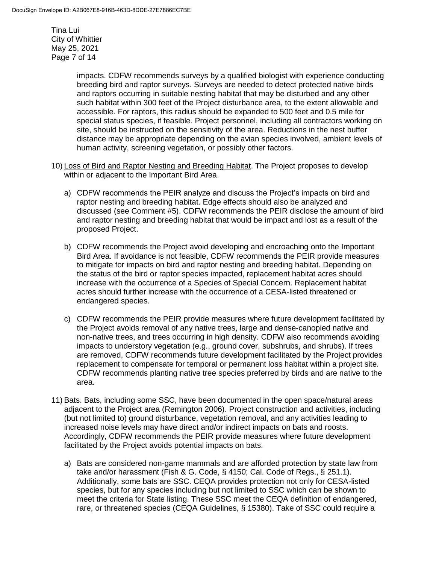Tina Lui City of Whittier May 25, 2021 Page 7 of 14

> impacts. CDFW recommends surveys by a qualified biologist with experience conducting breeding bird and raptor surveys. Surveys are needed to detect protected native birds and raptors occurring in suitable nesting habitat that may be disturbed and any other such habitat within 300 feet of the Project disturbance area, to the extent allowable and accessible. For raptors, this radius should be expanded to 500 feet and 0.5 mile for special status species, if feasible. Project personnel, including all contractors working on site, should be instructed on the sensitivity of the area. Reductions in the nest buffer distance may be appropriate depending on the avian species involved, ambient levels of human activity, screening vegetation, or possibly other factors.

- 10) Loss of Bird and Raptor Nesting and Breeding Habitat. The Project proposes to develop within or adjacent to the Important Bird Area.
	- a) CDFW recommends the PEIR analyze and discuss the Project's impacts on bird and raptor nesting and breeding habitat. Edge effects should also be analyzed and discussed (see Comment #5). CDFW recommends the PEIR disclose the amount of bird and raptor nesting and breeding habitat that would be impact and lost as a result of the proposed Project.
	- b) CDFW recommends the Project avoid developing and encroaching onto the Important Bird Area. If avoidance is not feasible, CDFW recommends the PEIR provide measures to mitigate for impacts on bird and raptor nesting and breeding habitat. Depending on the status of the bird or raptor species impacted, replacement habitat acres should increase with the occurrence of a Species of Special Concern. Replacement habitat acres should further increase with the occurrence of a CESA-listed threatened or endangered species.
	- c) CDFW recommends the PEIR provide measures where future development facilitated by the Project avoids removal of any native trees, large and dense-canopied native and non-native trees, and trees occurring in high density. CDFW also recommends avoiding impacts to understory vegetation (e.g., ground cover, subshrubs, and shrubs). If trees are removed, CDFW recommends future development facilitated by the Project provides replacement to compensate for temporal or permanent loss habitat within a project site. CDFW recommends planting native tree species preferred by birds and are native to the area.
- 11) Bats. Bats, including some SSC, have been documented in the open space/natural areas adjacent to the Project area (Remington 2006). Project construction and activities, including (but not limited to) ground disturbance, vegetation removal, and any activities leading to increased noise levels may have direct and/or indirect impacts on bats and roosts. Accordingly, CDFW recommends the PEIR provide measures where future development facilitated by the Project avoids potential impacts on bats.
	- a) Bats are considered non-game mammals and are afforded protection by state law from take and/or harassment (Fish & G. Code, § 4150; Cal. Code of Regs., § 251.1). Additionally, some bats are SSC. CEQA provides protection not only for CESA-listed species, but for any species including but not limited to SSC which can be shown to meet the criteria for State listing. These SSC meet the CEQA definition of endangered, rare, or threatened species (CEQA Guidelines, § 15380). Take of SSC could require a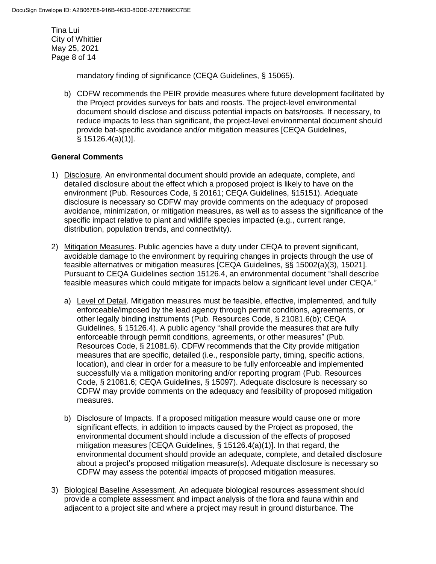Tina Lui City of Whittier May 25, 2021 Page 8 of 14

mandatory finding of significance (CEQA Guidelines, § 15065).

b) CDFW recommends the PEIR provide measures where future development facilitated by the Project provides surveys for bats and roosts. The project-level environmental document should disclose and discuss potential impacts on bats/roosts. If necessary, to reduce impacts to less than significant, the project-level environmental document should provide bat-specific avoidance and/or mitigation measures [CEQA Guidelines, § 15126.4(a)(1)].

# **General Comments**

- 1) Disclosure. An environmental document should provide an adequate, complete, and detailed disclosure about the effect which a proposed project is likely to have on the environment (Pub. Resources Code, § 20161; CEQA Guidelines, §15151). Adequate disclosure is necessary so CDFW may provide comments on the adequacy of proposed avoidance, minimization, or mitigation measures, as well as to assess the significance of the specific impact relative to plant and wildlife species impacted (e.g., current range, distribution, population trends, and connectivity).
- 2) Mitigation Measures. Public agencies have a duty under CEQA to prevent significant, avoidable damage to the environment by requiring changes in projects through the use of feasible alternatives or mitigation measures [CEQA Guidelines, §§ 15002(a)(3), 15021]. Pursuant to CEQA Guidelines section 15126.4, an environmental document "shall describe feasible measures which could mitigate for impacts below a significant level under CEQA."
	- a) Level of Detail. Mitigation measures must be feasible, effective, implemented, and fully enforceable/imposed by the lead agency through permit conditions, agreements, or other legally binding instruments (Pub. Resources Code, § 21081.6(b); CEQA Guidelines, § 15126.4). A public agency "shall provide the measures that are fully enforceable through permit conditions, agreements, or other measures" (Pub. Resources Code, § 21081.6). CDFW recommends that the City provide mitigation measures that are specific, detailed (i.e., responsible party, timing, specific actions, location), and clear in order for a measure to be fully enforceable and implemented successfully via a mitigation monitoring and/or reporting program (Pub. Resources Code, § 21081.6; CEQA Guidelines, § 15097). Adequate disclosure is necessary so CDFW may provide comments on the adequacy and feasibility of proposed mitigation measures.
	- b) Disclosure of Impacts. If a proposed mitigation measure would cause one or more significant effects, in addition to impacts caused by the Project as proposed, the environmental document should include a discussion of the effects of proposed mitigation measures [CEQA Guidelines, § 15126.4(a)(1)]. In that regard, the environmental document should provide an adequate, complete, and detailed disclosure about a project's proposed mitigation measure(s). Adequate disclosure is necessary so CDFW may assess the potential impacts of proposed mitigation measures.
- 3) Biological Baseline Assessment. An adequate biological resources assessment should provide a complete assessment and impact analysis of the flora and fauna within and adjacent to a project site and where a project may result in ground disturbance. The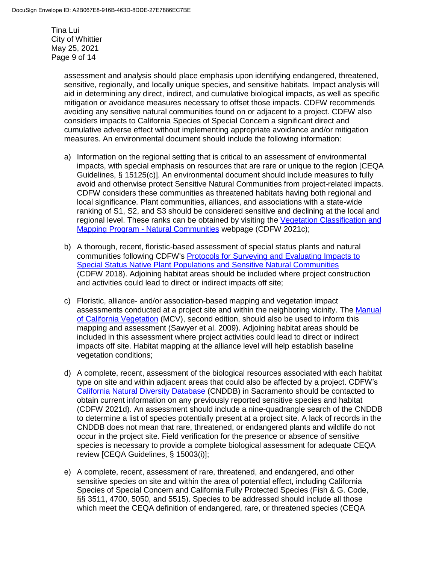Tina Lui City of Whittier May 25, 2021 Page 9 of 14

> assessment and analysis should place emphasis upon identifying endangered, threatened, sensitive, regionally, and locally unique species, and sensitive habitats. Impact analysis will aid in determining any direct, indirect, and cumulative biological impacts, as well as specific mitigation or avoidance measures necessary to offset those impacts. CDFW recommends avoiding any sensitive natural communities found on or adjacent to a project. CDFW also considers impacts to California Species of Special Concern a significant direct and cumulative adverse effect without implementing appropriate avoidance and/or mitigation measures. An environmental document should include the following information:

- a) Information on the regional setting that is critical to an assessment of environmental impacts, with special emphasis on resources that are rare or unique to the region [CEQA Guidelines, § 15125(c)]. An environmental document should include measures to fully avoid and otherwise protect Sensitive Natural Communities from project-related impacts. CDFW considers these communities as threatened habitats having both regional and local significance. Plant communities, alliances, and associations with a state-wide ranking of S1, S2, and S3 should be considered sensitive and declining at the local and regional level. These ranks can be obtained by visiting the [Vegetation Classification and](https://wildlife.ca.gov/Data/VegCAMP/Natural-Communities)  Mapping Program - [Natural Communities](https://wildlife.ca.gov/Data/VegCAMP/Natural-Communities) webpage (CDFW 2021c);
- b) A thorough, recent, floristic-based assessment of special status plants and natural communities following CDFW's [Protocols for Surveying and Evaluating Impacts to](https://nrm.dfg.ca.gov/FileHandler.ashx?DocumentID=18959&inline)  [Special Status Native Plant Populations and Sensitive Natural Communities](https://nrm.dfg.ca.gov/FileHandler.ashx?DocumentID=18959&inline) (CDFW 2018). Adjoining habitat areas should be included where project construction and activities could lead to direct or indirect impacts off site;
- c) Floristic, alliance- and/or association-based mapping and vegetation impact assessments conducted at a project site and within the neighboring vicinity. The [Manual](http://vegetation.cnps.org/)  [of California Vegetation](http://vegetation.cnps.org/) (MCV), second edition, should also be used to inform this mapping and assessment (Sawyer et al. 2009). Adjoining habitat areas should be included in this assessment where project activities could lead to direct or indirect impacts off site. Habitat mapping at the alliance level will help establish baseline vegetation conditions;
- d) A complete, recent, assessment of the biological resources associated with each habitat type on site and within adjacent areas that could also be affected by a project. CDFW's [California Natural Diversity Database](https://wildlife.ca.gov/Data/CNDDB) (CNDDB) in Sacramento should be contacted to obtain current information on any previously reported sensitive species and habitat (CDFW 2021d). An assessment should include a nine-quadrangle search of the CNDDB to determine a list of species potentially present at a project site. A lack of records in the CNDDB does not mean that rare, threatened, or endangered plants and wildlife do not occur in the project site. Field verification for the presence or absence of sensitive species is necessary to provide a complete biological assessment for adequate CEQA review [CEQA Guidelines, § 15003(i)];
- e) A complete, recent, assessment of rare, threatened, and endangered, and other sensitive species on site and within the area of potential effect, including California Species of Special Concern and California Fully Protected Species (Fish & G. Code, §§ 3511, 4700, 5050, and 5515). Species to be addressed should include all those which meet the CEQA definition of endangered, rare, or threatened species (CEQA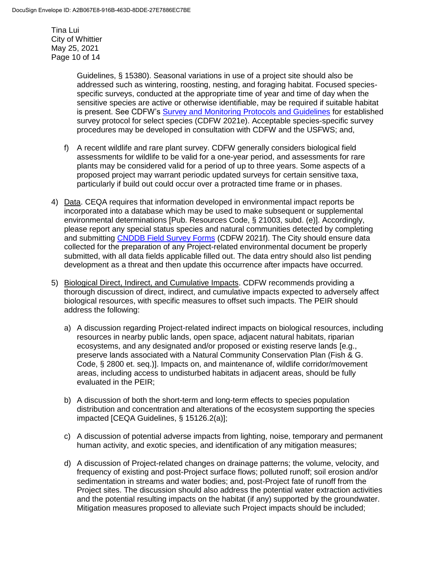Tina Lui City of Whittier May 25, 2021 Page 10 of 14

> Guidelines, § 15380). Seasonal variations in use of a project site should also be addressed such as wintering, roosting, nesting, and foraging habitat. Focused speciesspecific surveys, conducted at the appropriate time of year and time of day when the sensitive species are active or otherwise identifiable, may be required if suitable habitat is present. See CDFW's [Survey and Monitoring Protocols and Guidelines](https://wildlife.ca.gov/conservation/survey-protocols) for established survey protocol for select species (CDFW 2021e). Acceptable species-specific survey procedures may be developed in consultation with CDFW and the USFWS; and,

- f) A recent wildlife and rare plant survey. CDFW generally considers biological field assessments for wildlife to be valid for a one-year period, and assessments for rare plants may be considered valid for a period of up to three years. Some aspects of a proposed project may warrant periodic updated surveys for certain sensitive taxa, particularly if build out could occur over a protracted time frame or in phases.
- 4) Data. CEQA requires that information developed in environmental impact reports be incorporated into a database which may be used to make subsequent or supplemental environmental determinations [Pub. Resources Code, § 21003, subd. (e)]. Accordingly, please report any special status species and natural communities detected by completing and submitting [CNDDB Field Survey Forms](https://wildlife.ca.gov/Data/CNDDB/Submitting-Data) (CDFW 2021f). The City should ensure data collected for the preparation of any Project-related environmental document be properly submitted, with all data fields applicable filled out. The data entry should also list pending development as a threat and then update this occurrence after impacts have occurred.
- 5) Biological Direct, Indirect, and Cumulative Impacts. CDFW recommends providing a thorough discussion of direct, indirect, and cumulative impacts expected to adversely affect biological resources, with specific measures to offset such impacts. The PEIR should address the following:
	- a) A discussion regarding Project-related indirect impacts on biological resources, including resources in nearby public lands, open space, adjacent natural habitats, riparian ecosystems, and any designated and/or proposed or existing reserve lands [e.g., preserve lands associated with a Natural Community Conservation Plan (Fish & G. Code, § 2800 et. seq.)]. Impacts on, and maintenance of, wildlife corridor/movement areas, including access to undisturbed habitats in adjacent areas, should be fully evaluated in the PEIR;
	- b) A discussion of both the short-term and long-term effects to species population distribution and concentration and alterations of the ecosystem supporting the species impacted [CEQA Guidelines, § 15126.2(a)];
	- c) A discussion of potential adverse impacts from lighting, noise, temporary and permanent human activity, and exotic species, and identification of any mitigation measures;
	- d) A discussion of Project-related changes on drainage patterns; the volume, velocity, and frequency of existing and post-Project surface flows; polluted runoff; soil erosion and/or sedimentation in streams and water bodies; and, post-Project fate of runoff from the Project sites. The discussion should also address the potential water extraction activities and the potential resulting impacts on the habitat (if any) supported by the groundwater. Mitigation measures proposed to alleviate such Project impacts should be included;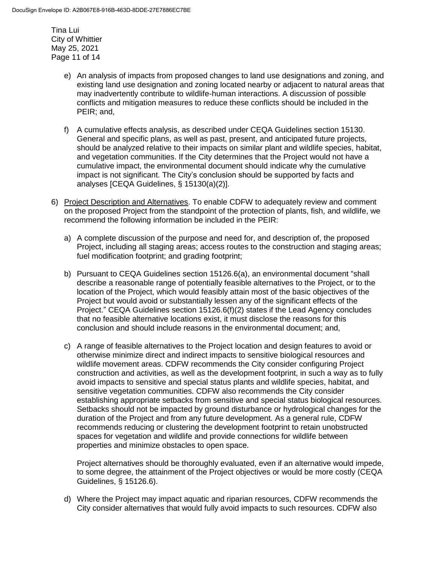Tina Lui City of Whittier May 25, 2021 Page 11 of 14

- e) An analysis of impacts from proposed changes to land use designations and zoning, and existing land use designation and zoning located nearby or adjacent to natural areas that may inadvertently contribute to wildlife-human interactions. A discussion of possible conflicts and mitigation measures to reduce these conflicts should be included in the PEIR; and,
- f) A cumulative effects analysis, as described under CEQA Guidelines section 15130. General and specific plans, as well as past, present, and anticipated future projects, should be analyzed relative to their impacts on similar plant and wildlife species, habitat, and vegetation communities. If the City determines that the Project would not have a cumulative impact, the environmental document should indicate why the cumulative impact is not significant. The City's conclusion should be supported by facts and analyses [CEQA Guidelines, § 15130(a)(2)].
- 6) Project Description and Alternatives. To enable CDFW to adequately review and comment on the proposed Project from the standpoint of the protection of plants, fish, and wildlife, we recommend the following information be included in the PEIR:
	- a) A complete discussion of the purpose and need for, and description of, the proposed Project, including all staging areas; access routes to the construction and staging areas; fuel modification footprint; and grading footprint;
	- b) Pursuant to CEQA Guidelines section 15126.6(a), an environmental document "shall describe a reasonable range of potentially feasible alternatives to the Project, or to the location of the Project, which would feasibly attain most of the basic objectives of the Project but would avoid or substantially lessen any of the significant effects of the Project." CEQA Guidelines section 15126.6(f)(2) states if the Lead Agency concludes that no feasible alternative locations exist, it must disclose the reasons for this conclusion and should include reasons in the environmental document; and,
	- c) A range of feasible alternatives to the Project location and design features to avoid or otherwise minimize direct and indirect impacts to sensitive biological resources and wildlife movement areas. CDFW recommends the City consider configuring Project construction and activities, as well as the development footprint, in such a way as to fully avoid impacts to sensitive and special status plants and wildlife species, habitat, and sensitive vegetation communities. CDFW also recommends the City consider establishing appropriate setbacks from sensitive and special status biological resources. Setbacks should not be impacted by ground disturbance or hydrological changes for the duration of the Project and from any future development. As a general rule, CDFW recommends reducing or clustering the development footprint to retain unobstructed spaces for vegetation and wildlife and provide connections for wildlife between properties and minimize obstacles to open space.

Project alternatives should be thoroughly evaluated, even if an alternative would impede, to some degree, the attainment of the Project objectives or would be more costly (CEQA Guidelines, § 15126.6).

d) Where the Project may impact aquatic and riparian resources, CDFW recommends the City consider alternatives that would fully avoid impacts to such resources. CDFW also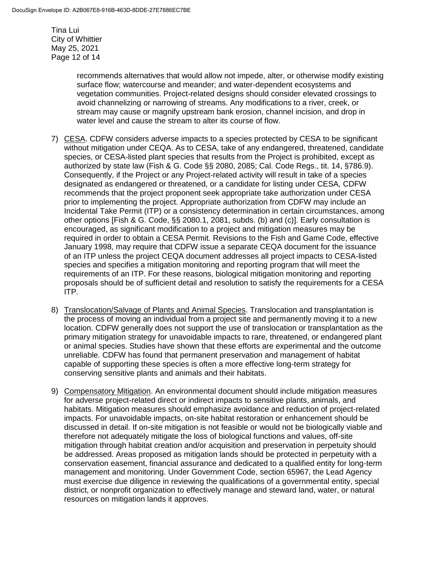Tina Lui City of Whittier May 25, 2021 Page 12 of 14

> recommends alternatives that would allow not impede, alter, or otherwise modify existing surface flow; watercourse and meander; and water-dependent ecosystems and vegetation communities. Project-related designs should consider elevated crossings to avoid channelizing or narrowing of streams. Any modifications to a river, creek, or stream may cause or magnify upstream bank erosion, channel incision, and drop in water level and cause the stream to alter its course of flow.

- 7) CESA. CDFW considers adverse impacts to a species protected by CESA to be significant without mitigation under CEQA. As to CESA, take of any endangered, threatened, candidate species, or CESA-listed plant species that results from the Project is prohibited, except as authorized by state law (Fish & G. Code §§ 2080, 2085; Cal. Code Regs., tit. 14, §786.9). Consequently, if the Project or any Project-related activity will result in take of a species designated as endangered or threatened, or a candidate for listing under CESA, CDFW recommends that the project proponent seek appropriate take authorization under CESA prior to implementing the project. Appropriate authorization from CDFW may include an Incidental Take Permit (ITP) or a consistency determination in certain circumstances, among other options [Fish & G. Code, §§ 2080.1, 2081, subds. (b) and (c)]. Early consultation is encouraged, as significant modification to a project and mitigation measures may be required in order to obtain a CESA Permit. Revisions to the Fish and Game Code, effective January 1998, may require that CDFW issue a separate CEQA document for the issuance of an ITP unless the project CEQA document addresses all project impacts to CESA-listed species and specifies a mitigation monitoring and reporting program that will meet the requirements of an ITP. For these reasons, biological mitigation monitoring and reporting proposals should be of sufficient detail and resolution to satisfy the requirements for a CESA ITP.
- 8) Translocation/Salvage of Plants and Animal Species. Translocation and transplantation is the process of moving an individual from a project site and permanently moving it to a new location. CDFW generally does not support the use of translocation or transplantation as the primary mitigation strategy for unavoidable impacts to rare, threatened, or endangered plant or animal species. Studies have shown that these efforts are experimental and the outcome unreliable. CDFW has found that permanent preservation and management of habitat capable of supporting these species is often a more effective long-term strategy for conserving sensitive plants and animals and their habitats.
- 9) Compensatory Mitigation. An environmental document should include mitigation measures for adverse project-related direct or indirect impacts to sensitive plants, animals, and habitats. Mitigation measures should emphasize avoidance and reduction of project-related impacts. For unavoidable impacts, on-site habitat restoration or enhancement should be discussed in detail. If on-site mitigation is not feasible or would not be biologically viable and therefore not adequately mitigate the loss of biological functions and values, off-site mitigation through habitat creation and/or acquisition and preservation in perpetuity should be addressed. Areas proposed as mitigation lands should be protected in perpetuity with a conservation easement, financial assurance and dedicated to a qualified entity for long-term management and monitoring. Under Government Code, section 65967, the Lead Agency must exercise due diligence in reviewing the qualifications of a governmental entity, special district, or nonprofit organization to effectively manage and steward land, water, or natural resources on mitigation lands it approves.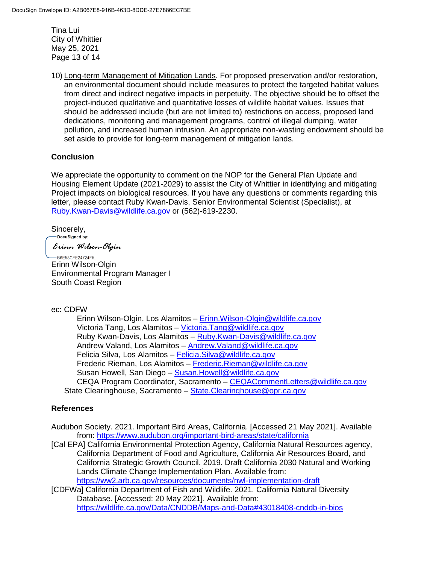Tina Lui City of Whittier May 25, 2021 Page 13 of 14

10) Long-term Management of Mitigation Lands. For proposed preservation and/or restoration, an environmental document should include measures to protect the targeted habitat values from direct and indirect negative impacts in perpetuity. The objective should be to offset the project-induced qualitative and quantitative losses of wildlife habitat values. Issues that should be addressed include (but are not limited to) restrictions on access, proposed land dedications, monitoring and management programs, control of illegal dumping, water pollution, and increased human intrusion. An appropriate non-wasting endowment should be set aside to provide for long-term management of mitigation lands.

# **Conclusion**

We appreciate the opportunity to comment on the NOP for the General Plan Update and Housing Element Update (2021-2029) to assist the City of Whittier in identifying and mitigating Project impacts on biological resources. If you have any questions or comments regarding this letter, please contact Ruby Kwan-Davis, Senior Environmental Scientist (Specialist), at [Ruby.Kwan-Davis@wildlife.ca.gov](mailto:Ruby.Kwan-Davis@wildlife.ca.gov) or (562)-619-2230.

Sincerely,

-DocuSigned by:

Erinn Wilson-Olgin

B6E58CFE24724F5.. Erinn Wilson-Olgin Environmental Program Manager I South Coast Region

#### ec: CDFW

Erinn Wilson-Olgin, Los Alamitos – [Erinn.Wilson-Olgin@wildlife.ca.gov](mailto:Erinn.Wilson-Olgin@wildlife.ca.gov) Victoria Tang, Los Alamitos – [Victoria.Tang@wildlife.ca.gov](mailto:Victoria.Tang@wildlife.ca.gov) Ruby Kwan-Davis, Los Alamitos – [Ruby.Kwan-Davis@wildlife.ca.gov](mailto:Ruby.Kwan-Davis@wildlife.ca.gov) Andrew Valand, Los Alamitos – [Andrew.Valand@wildlife.ca.gov](mailto:Andrew.Valand@wildlife.ca.gov) Felicia Silva, Los Alamitos – [Felicia.Silva@wildlife.ca.gov](mailto:Felicia.Silva@wildlife.ca.gov) Frederic Rieman, Los Alamitos – [Frederic.Rieman@wildlife.ca.gov](mailto:Frederic.Rieman@wildlife.ca.gov) Susan Howell, San Diego - [Susan.Howell@wildlife.ca.gov](mailto:Susan.Howell@wildlife.ca.gov) CEQA Program Coordinator, Sacramento – [CEQACommentLetters@wildlife.ca.gov](mailto:CEQACommentLetters@wildlife.ca.gov)  State Clearinghouse, Sacramento - State. Clearinghouse@opr.ca.gov

# **References**

Audubon Society. 2021. Important Bird Areas, California. [Accessed 21 May 2021]. Available from:<https://www.audubon.org/important-bird-areas/state/california>

- [Cal EPA] California Environmental Protection Agency, California Natural Resources agency, California Department of Food and Agriculture, California Air Resources Board, and California Strategic Growth Council. 2019. Draft California 2030 Natural and Working Lands Climate Change Implementation Plan. Available from: <https://ww2.arb.ca.gov/resources/documents/nwl-implementation-draft>
- [CDFWa] California Department of Fish and Wildlife. 2021. California Natural Diversity Database. [Accessed: 20 May 2021]. Available from: <https://wildlife.ca.gov/Data/CNDDB/Maps-and-Data#43018408-cnddb-in-bios>